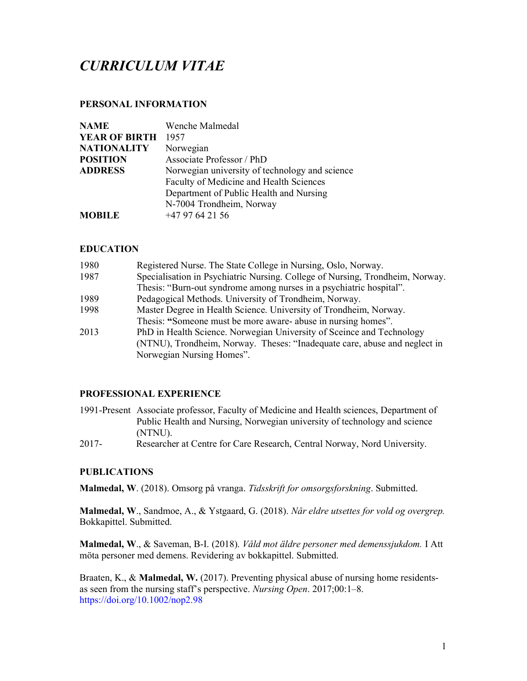# CURRICULUM VITAE

## PERSONAL INFORMATION

| <b>NAME</b>          | Wenche Malmedal                                |
|----------------------|------------------------------------------------|
| <b>YEAR OF BIRTH</b> | 1957                                           |
| <b>NATIONALITY</b>   | Norwegian                                      |
| <b>POSITION</b>      | Associate Professor / PhD                      |
| <b>ADDRESS</b>       | Norwegian university of technology and science |
|                      | Faculty of Medicine and Health Sciences        |
|                      | Department of Public Health and Nursing        |
|                      | N-7004 Trondheim, Norway                       |
| <b>MOBILE</b>        | $+4797642156$                                  |

### EDUCATION

| 1980 | Registered Nurse. The State College in Nursing, Oslo, Norway.                 |
|------|-------------------------------------------------------------------------------|
| 1987 | Specialisation in Psychiatric Nursing. College of Nursing, Trondheim, Norway. |
|      | Thesis: "Burn-out syndrome among nurses in a psychiatric hospital".           |
| 1989 | Pedagogical Methods. University of Trondheim, Norway.                         |
| 1998 | Master Degree in Health Science. University of Trondheim, Norway.             |
|      | Thesis: "Someone must be more aware- abuse in nursing homes".                 |
| 2013 | PhD in Health Science. Norwegian University of Sceince and Technology         |
|      | (NTNU), Trondheim, Norway. Theses: "Inadequate care, abuse and neglect in     |
|      | Norwegian Nursing Homes".                                                     |

### PROFESSIONAL EXPERIENCE

- 1991-Present Associate professor, Faculty of Medicine and Health sciences, Department of Public Health and Nursing, Norwegian university of technology and science (NTNU).
- 2017- Researcher at Centre for Care Research, Central Norway, Nord University.

### PUBLICATIONS

Malmedal, W. (2018). Omsorg på vranga. Tidsskrift for omsorgsforskning. Submitted.

Malmedal, W., Sandmoe, A., & Ystgaard, G. (2018). Når eldre utsettes for vold og overgrep. Bokkapittel. Submitted.

Malmedal, W., & Saveman, B-I. (2018). Våld mot äldre personer med demenssjukdom. I Att möta personer med demens. Revidering av bokkapittel. Submitted.

Braaten, K., & **Malmedal, W.** (2017). Preventing physical abuse of nursing home residentsas seen from the nursing staff's perspective. Nursing Open. 2017;00:1–8. https://doi.org/10.1002/nop2.98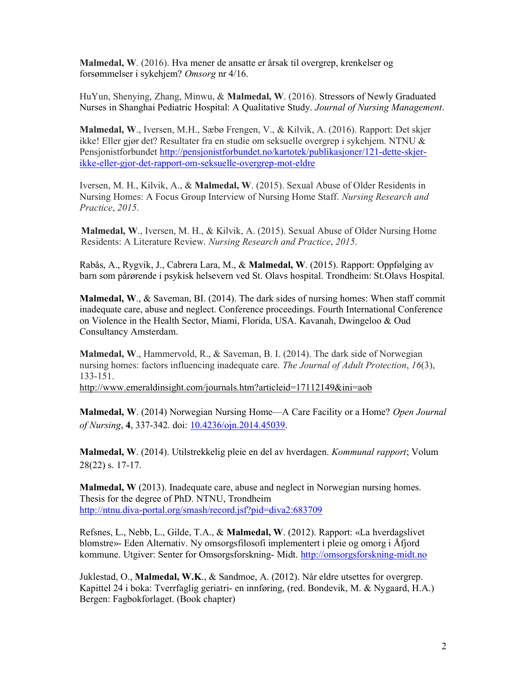Malmedal, W. (2016). Hva mener de ansatte er årsak til overgrep, krenkelser og forsømmelser i sykehjem? Omsorg nr 4/16.

HuYun, Shenying, Zhang, Minwu, & Malmedal, W. (2016). Stressors of Newly Graduated Nurses in Shanghai Pediatric Hospital: A Qualitative Study. Journal of Nursing Management.

Malmedal, W., Iversen, M.H., Sæbø Frengen, V., & Kilvik, A. (2016). Rapport: Det skjer ikke! Eller gjør det? Resultater fra en studie om seksuelle overgrep i sykehjem. NTNU & Pensjonistforbundet http://pensjonistforbundet.no/kartotek/publikasjoner/121-dette-skjerikke-eller-gjor-det-rapport-om-seksuelle-overgrep-mot-eldre

Iversen, M. H., Kilvik, A., & Malmedal, W. (2015). Sexual Abuse of Older Residents in Nursing Homes: A Focus Group Interview of Nursing Home Staff. Nursing Research and Practice, 2015.

Malmedal, W., Iversen, M. H., & Kilvik, A. (2015). Sexual Abuse of Older Nursing Home Residents: A Literature Review. Nursing Research and Practice, 2015.

Rabås, A., Rygvik, J., Cabrera Lara, M., & Malmedal, W. (2015). Rapport: Oppfølging av barn som pårørende i psykisk helsevern ved St. Olavs hospital. Trondheim: St.Olavs Hospital.

Malmedal, W., & Saveman, BI. (2014). The dark sides of nursing homes: When staff commit inadequate care, abuse and neglect. Conference proceedings. Fourth International Conference on Violence in the Health Sector, Miami, Florida, USA. Kavanah, Dwingeloo & Oud Consultancy Amsterdam.

Malmedal, W., Hammervold, R., & Saveman, B. I. (2014). The dark side of Norwegian nursing homes: factors influencing inadequate care. The Journal of Adult Protection, 16(3), 133-151.

http://www.emeraldinsight.com/journals.htm?articleid=17112149&ini=aob

Malmedal, W. (2014) Norwegian Nursing Home—A Care Facility or a Home? Open Journal of Nursing, 4, 337-342. doi: 10.4236/ojn.2014.45039.

Malmedal, W. (2014). Utilstrekkelig pleie en del av hverdagen. Kommunal rapport; Volum 28(22) s. 17-17.

Malmedal, W (2013). Inadequate care, abuse and neglect in Norwegian nursing homes. Thesis for the degree of PhD. NTNU, Trondheim http://ntnu.diva-portal.org/smash/record.jsf?pid=diva2:683709

Refsnes, L., Nebb, L., Gilde, T.A., & Malmedal, W. (2012). Rapport: «La hverdagslivet blomstre»- Eden Alternativ. Ny omsorgsfilosofi implementert i pleie og omorg i Åfjord kommune. Utgiver: Senter for Omsorgsforskning- Midt. http://omsorgsforskning-midt.no

Juklestad, O., Malmedal, W.K., & Sandmoe, A. (2012). Når eldre utsettes for overgrep. Kapittel 24 i boka: Tverrfaglig geriatri- en innføring, (red. Bondevik, M. & Nygaard, H.A.) Bergen: Fagbokforlaget. (Book chapter)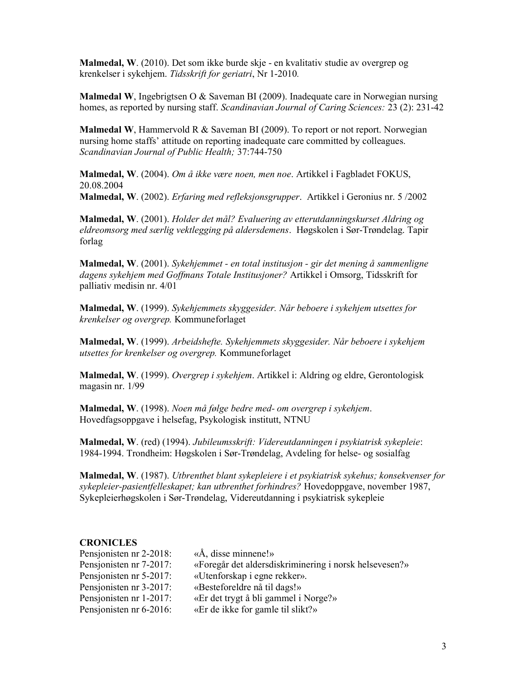Malmedal, W. (2010). Det som ikke burde skje - en kvalitativ studie av overgrep og krenkelser i sykehjem. Tidsskrift for geriatri, Nr 1-2010.

Malmedal W, Ingebrigtsen O & Saveman BI (2009). Inadequate care in Norwegian nursing homes, as reported by nursing staff. Scandinavian Journal of Caring Sciences: 23 (2): 231-42

**Malmedal W**, Hammervold R & Saveman BI (2009). To report or not report. Norwegian nursing home staffs' attitude on reporting inadequate care committed by colleagues. Scandinavian Journal of Public Health; 37:744-750

Malmedal, W. (2004). Om å ikke være noen, men noe. Artikkel i Fagbladet FOKUS, 20.08.2004

Malmedal, W. (2002). Erfaring med refleksjonsgrupper. Artikkel i Geronius nr. 5 /2002

Malmedal, W. (2001). Holder det mål? Evaluering av etterutdanningskurset Aldring og eldreomsorg med særlig vektlegging på aldersdemens. Høgskolen i Sør-Trøndelag. Tapir forlag

Malmedal, W. (2001). Sykehjemmet - en total institusjon - gir det mening å sammenligne dagens sykehjem med Goffmans Totale Institusjoner? Artikkel i Omsorg, Tidsskrift for palliativ medisin nr. 4/01

Malmedal, W. (1999). Sykehjemmets skyggesider. Når beboere i sykehjem utsettes for krenkelser og overgrep. Kommuneforlaget

Malmedal, W. (1999). Arbeidshefte. Sykehjemmets skyggesider. Når beboere i sykehjem utsettes for krenkelser og overgrep. Kommuneforlaget

Malmedal, W. (1999). Overgrep i sykehjem. Artikkel i: Aldring og eldre, Gerontologisk magasin nr. 1/99

Malmedal, W. (1998). Noen må følge bedre med- om overgrep i sykehjem. Hovedfagsoppgave i helsefag, Psykologisk institutt, NTNU

Malmedal, W. (red) (1994). Jubileumsskrift: Videreutdanningen i psykiatrisk sykepleie: 1984-1994. Trondheim: Høgskolen i Sør-Trøndelag, Avdeling for helse- og sosialfag

Malmedal, W. (1987). Utbrenthet blant sykepleiere i et psykiatrisk sykehus; konsekvenser for sykepleier-pasientfelleskapet; kan utbrenthet forhindres? Hovedoppgave, november 1987, Sykepleierhøgskolen i Sør-Trøndelag, Videreutdanning i psykiatrisk sykepleie

#### **CRONICLES**

| Pensjonisten nr 2-2018: | $\langle A, \text{disse minnene!}\rangle$              |
|-------------------------|--------------------------------------------------------|
| Pensjonisten nr 7-2017: | «Foregår det aldersdiskriminering i norsk helsevesen?» |
| Pensionisten nr 5-2017: | «Utenforskap i egne rekker».                           |
| Pensjonisten nr 3-2017: | «Besteforeldre nå til dags!»                           |
| Pensionisten nr 1-2017: | «Er det trygt å bli gammel i Norge?»                   |
| Pensjonisten nr 6-2016: | «Er de ikke for gamle til slikt?»                      |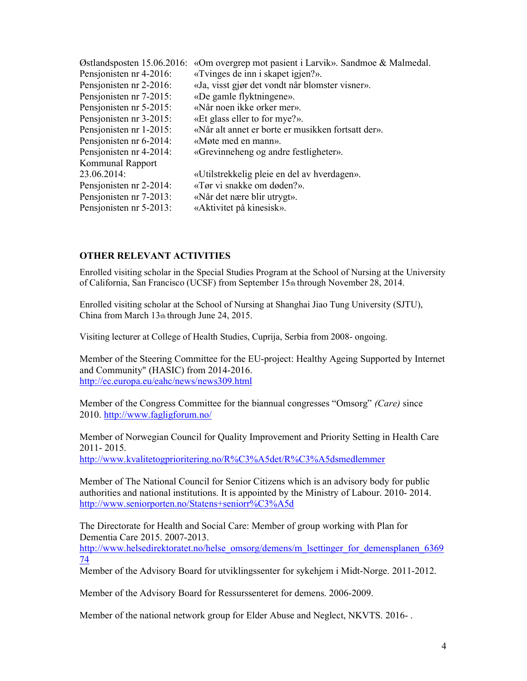| Østlandsposten 15.06.2016: | «Om overgrep mot pasient i Larvik». Sandmoe & Malmedal. |
|----------------------------|---------------------------------------------------------|
| Pensjonisten nr 4-2016:    | «Tvinges de inn i skapet igjen?».                       |
| Pensjonisten nr 2-2016:    | «Ja, visst gjør det vondt når blomster visner».         |
| Pensjonisten nr 7-2015:    | «De gamle flyktningene».                                |
| Pensjonisten nr 5-2015:    | «Når noen ikke orker mer».                              |
| Pensjonisten nr 3-2015:    | «Et glass eller to for mye?».                           |
| Pensjonisten nr 1-2015:    | «Når alt annet er borte er musikken fortsatt der».      |
| Pensjonisten nr 6-2014:    | «Møte med en mann».                                     |
| Pensjonisten nr 4-2014:    | «Grevinneheng og andre festligheter».                   |
| Kommunal Rapport           |                                                         |
| 23.06.2014:                | «Utilstrekkelig pleie en del av hverdagen».             |
| Pensjonisten nr 2-2014:    | «Tør vi snakke om døden?».                              |
| Pensjonisten nr 7-2013:    | «Når det nære blir utrygt».                             |
| Pensjonisten nr 5-2013:    | «Aktivitet på kinesisk».                                |

### OTHER RELEVANT ACTIVITIES

Enrolled visiting scholar in the Special Studies Program at the School of Nursing at the University of California, San Francisco (UCSF) from September 15th through November 28, 2014.

Enrolled visiting scholar at the School of Nursing at Shanghai Jiao Tung University (SJTU), China from March 13th through June 24, 2015.

Visiting lecturer at College of Health Studies, Cuprija, Serbia from 2008- ongoing.

Member of the Steering Committee for the EU-project: Healthy Ageing Supported by Internet and Community" (HASIC) from 2014-2016. http://ec.europa.eu/eahc/news/news309.html

Member of the Congress Committee for the biannual congresses "Omsorg" (Care) since 2010. http://www.fagligforum.no/

Member of Norwegian Council for Quality Improvement and Priority Setting in Health Care 2011- 2015.

http://www.kvalitetogprioritering.no/R%C3%A5det/R%C3%A5dsmedlemmer

Member of The National Council for Senior Citizens which is an advisory body for public authorities and national institutions. It is appointed by the Ministry of Labour. 2010- 2014. http://www.seniorporten.no/Statens+seniorr%C3%A5d

The Directorate for Health and Social Care: Member of group working with Plan for Dementia Care 2015. 2007-2013.

http://www.helsedirektoratet.no/helse\_omsorg/demens/m\_lsettinger\_for\_demensplanen\_6369 74

Member of the Advisory Board for utviklingssenter for sykehjem i Midt-Norge. 2011-2012.

Member of the Advisory Board for Ressurssenteret for demens. 2006-2009.

Member of the national network group for Elder Abuse and Neglect, NKVTS. 2016- .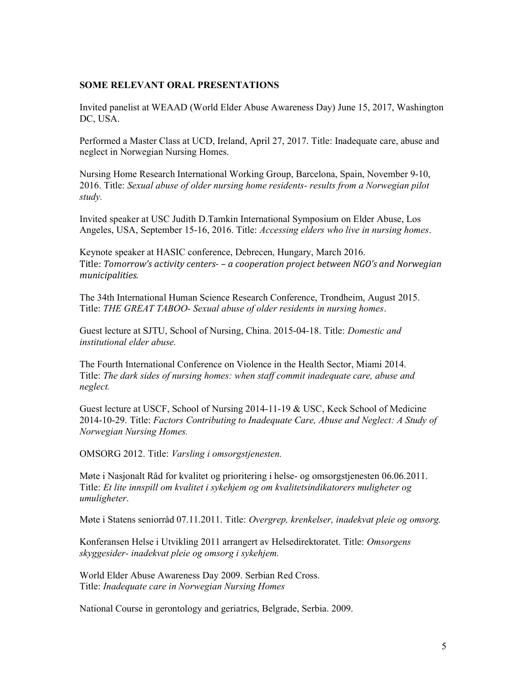### SOME RELEVANT ORAL PRESENTATIONS

Invited panelist at WEAAD (World Elder Abuse Awareness Day) June 15, 2017, Washington DC, USA.

Performed a Master Class at UCD, Ireland, April 27, 2017. Title: Inadequate care, abuse and neglect in Norwegian Nursing Homes.

Nursing Home Research International Working Group, Barcelona, Spain, November 9-10, 2016. Title: Sexual abuse of older nursing home residents- results from a Norwegian pilot study.

Invited speaker at USC Judith D.Tamkin International Symposium on Elder Abuse, Los Angeles, USA, September 15-16, 2016. Title: Accessing elders who live in nursing homes.

Keynote speaker at HASIC conference, Debrecen, Hungary, March 2016. Title: Tomorrow's activity centers- – a cooperation project between NGO's and Norwegian municipalities.

The 34th International Human Science Research Conference, Trondheim, August 2015. Title: THE GREAT TABOO- Sexual abuse of older residents in nursing homes.

Guest lecture at SJTU, School of Nursing, China. 2015-04-18. Title: Domestic and institutional elder abuse.

The Fourth International Conference on Violence in the Health Sector, Miami 2014. Title: The dark sides of nursing homes: when staff commit inadequate care, abuse and neglect.

Guest lecture at USCF, School of Nursing 2014-11-19 & USC, Keck School of Medicine 2014-10-29. Title: Factors Contributing to Inadequate Care, Abuse and Neglect: A Study of Norwegian Nursing Homes.

OMSORG 2012. Title: Varsling i omsorgstjenesten.

Møte i Nasjonalt Råd for kvalitet og prioritering i helse- og omsorgstjenesten 06.06.2011. Title: Et lite innspill om kvalitet i sykehjem og om kvalitetsindikatorers muligheter og umuligheter.

Møte i Statens seniorråd 07.11.2011. Title: Overgrep, krenkelser, inadekvat pleie og omsorg.

Konferansen Helse i Utvikling 2011 arrangert av Helsedirektoratet. Title: Omsorgens skyggesider- inadekvat pleie og omsorg i sykehjem.

World Elder Abuse Awareness Day 2009. Serbian Red Cross. Title: Inadequate care in Norwegian Nursing Homes

National Course in gerontology and geriatrics, Belgrade, Serbia. 2009.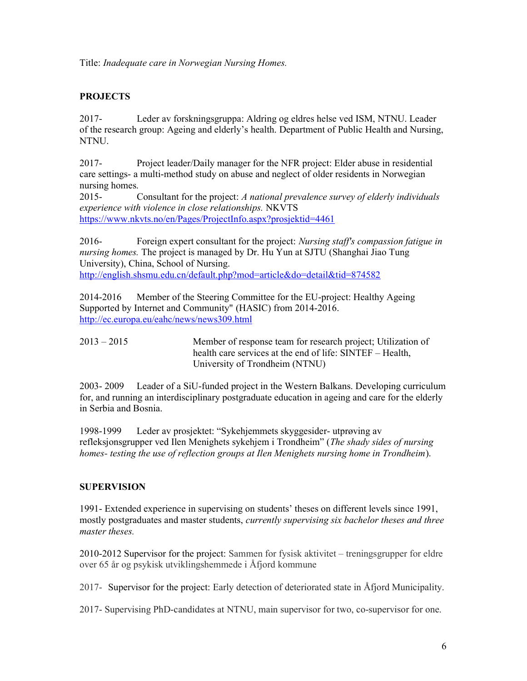Title: Inadequate care in Norwegian Nursing Homes.

# **PROJECTS**

2017- Leder av forskningsgruppa: Aldring og eldres helse ved ISM, NTNU. Leader of the research group: Ageing and elderly's health. Department of Public Health and Nursing, NTNU.

2017- Project leader/Daily manager for the NFR project: Elder abuse in residential care settings- a multi-method study on abuse and neglect of older residents in Norwegian nursing homes.

2015- Consultant for the project: A national prevalence survey of elderly individuals experience with violence in close relationships. NKVTS https://www.nkvts.no/en/Pages/ProjectInfo.aspx?prosjektid=4461

2016- Foreign expert consultant for the project: Nursing staff's compassion fatigue in nursing homes. The project is managed by Dr. Hu Yun at SJTU (Shanghai Jiao Tung University), China, School of Nursing.

http://english.shsmu.edu.cn/default.php?mod=article&do=detail&tid=874582

2014-2016 Member of the Steering Committee for the EU-project: Healthy Ageing Supported by Internet and Community" (HASIC) from 2014-2016. http://ec.europa.eu/eahc/news/news309.html

2013 – 2015 Member of response team for research project; Utilization of health care services at the end of life: SINTEF – Health, University of Trondheim (NTNU)

2003- 2009 Leader of a SiU-funded project in the Western Balkans. Developing curriculum for, and running an interdisciplinary postgraduate education in ageing and care for the elderly in Serbia and Bosnia.

1998-1999 Leder av prosjektet: "Sykehjemmets skyggesider- utprøving av refleksjonsgrupper ved Ilen Menighets sykehjem i Trondheim" (The shady sides of nursing homes- testing the use of reflection groups at Ilen Menighets nursing home in Trondheim).

## **SUPERVISION**

1991- Extended experience in supervising on students' theses on different levels since 1991, mostly postgraduates and master students, currently supervising six bachelor theses and three master theses.

2010-2012 Supervisor for the project: Sammen for fysisk aktivitet – treningsgrupper for eldre over 65 år og psykisk utviklingshemmede i Åfjord kommune

2017- Supervisor for the project: Early detection of deteriorated state in Åfjord Municipality.

2017- Supervising PhD-candidates at NTNU, main supervisor for two, co-supervisor for one.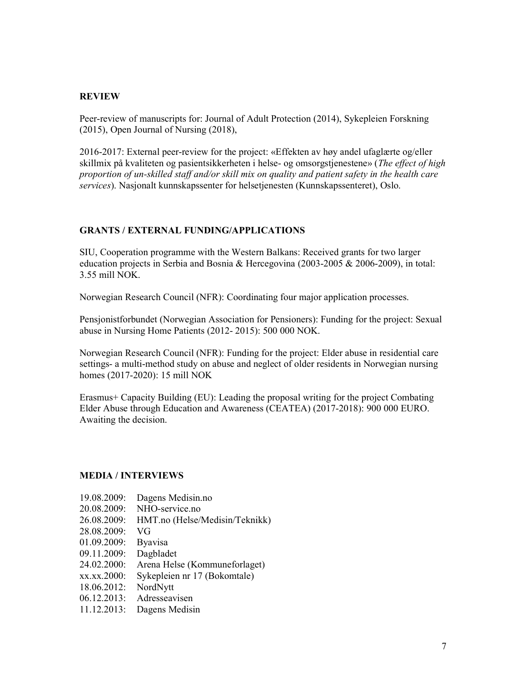### REVIEW

Peer-review of manuscripts for: Journal of Adult Protection (2014), Sykepleien Forskning (2015), Open Journal of Nursing (2018),

2016-2017: External peer-review for the project: «Effekten av høy andel ufaglærte og/eller skillmix på kvaliteten og pasientsikkerheten i helse- og omsorgstjenestene» (The effect of high proportion of un-skilled staff and/or skill mix on quality and patient safety in the health care services). Nasjonalt kunnskapssenter for helsetjenesten (Kunnskapssenteret), Oslo.

#### GRANTS / EXTERNAL FUNDING/APPLICATIONS

SIU, Cooperation programme with the Western Balkans: Received grants for two larger education projects in Serbia and Bosnia & Hercegovina (2003-2005 & 2006-2009), in total: 3.55 mill NOK.

Norwegian Research Council (NFR): Coordinating four major application processes.

Pensjonistforbundet (Norwegian Association for Pensioners): Funding for the project: Sexual abuse in Nursing Home Patients (2012- 2015): 500 000 NOK.

Norwegian Research Council (NFR): Funding for the project: Elder abuse in residential care settings- a multi-method study on abuse and neglect of older residents in Norwegian nursing homes (2017-2020): 15 mill NOK

Erasmus+ Capacity Building (EU): Leading the proposal writing for the project Combating Elder Abuse through Education and Awareness (CEATEA) (2017-2018): 900 000 EURO. Awaiting the decision.

#### MEDIA / INTERVIEWS

- 19.08.2009: Dagens Medisin.no
- 20.08.2009: NHO-service.no
- 26.08.2009: HMT.no (Helse/Medisin/Teknikk)
- 28.08.2009: VG
- 01.09.2009: Byavisa
- 09.11.2009: Dagbladet
- 24.02.2000: Arena Helse (Kommuneforlaget)
- xx.xx.2000: Sykepleien nr 17 (Bokomtale)
- 18.06.2012: NordNytt
- 06.12.2013: Adresseavisen
- 11.12.2013: Dagens Medisin